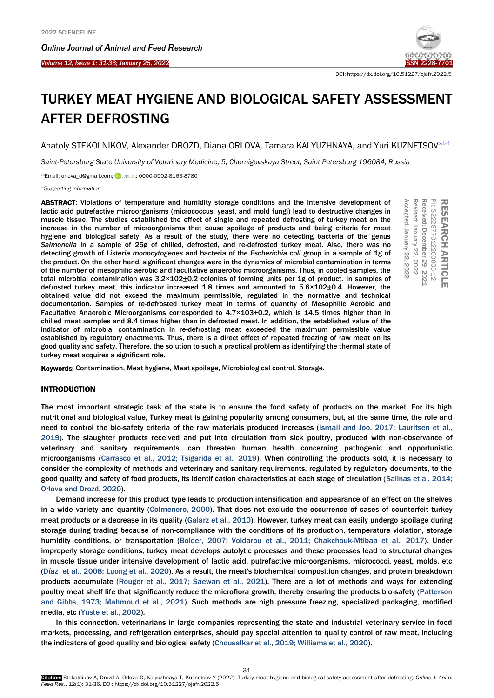Ī



DOI: https://dx.doi.org/10.51227/ojafr.2022.5

# TURKEY MEAT HYGIENE AND BIOLOGICAL SAFETY ASSESSMENT AFTER DEFROSTING

Anatoly STEKOLNIKOV, Alexander DROZD, Diana ORLOVA, Tamara KALYUZHNAYA, and Yuri KUZNETSOV<sup>®⊠</sup>

*Saint-Petersburg State University of Veterinary Medicine, 5, Chernigovskaya Street, Saint Petersburg 196084, Russia*

<sup>⊠</sup>Email: orlova\_d@gmail.com; <sup>10</sup>ORCD: 0000-0002-8163-8780

*[Supporting Information](#page-5-0)*

ABSTRACT: Violations of temperature and humidity storage conditions and the intensive development of lactic acid putrefactive microorganisms (micrococcus, yeast, and mold fungi) lead to destructive changes in muscle tissue. The studies established the effect of single and repeated defrosting of turkey meat on the increase in the number of microorganisms that cause spoilage of products and being criteria for meat hygiene and biological safety. As a result of the study, there were no detecting bacteria of the genus *Salmonella* in a sample of 25g of chilled, defrosted, and re-defrosted turkey meat. Also, there was no detecting growth of *Listeria monocytogenes* and bacteria of the *Escherichia coli* group in a sample of 1g of the product. On the other hand, significant changes were in the dynamics of microbial contamination in terms of the number of mesophilic aerobic and facultative anaerobic microorganisms. Thus, in cooled samples, the total microbial contamination was 3.2×102±0.2 colonies of forming units per 1g of product. In samples of defrosted turkey meat, this indicator increased 1.8 times and amounted to 5.6×102±0.4. However, the obtained value did not exceed the maximum permissible, regulated in the normative and technical documentation. Samples of re-defrosted turkey meat in terms of quantity of Mesophilic Aerobic and Facultative Anaerobic Microorganisms corresponded to 4.7×103±0.2, which is 14.5 times higher than in chilled meat samples and 8.4 times higher than in defrosted meat. In addition, the established value of the indicator of microbial contamination in re-defrosting meat exceeded the maximum permissible value established by regulatory enactments. Thus, there is a direct effect of repeated freezing of raw meat on its good quality and safety. Therefore, the solution to such a practical problem as identifying the thermal state of turkey meat acquires a significant role. **ABSTRACT:** Violations of temperature and humidity storage contitions and the intensive development of microscontent and the microscontent of microorcalisms that cause spoilage of products and mode for turkey meat on the m



# INTRODUCTION

The most important strategic task of the state is to ensure the food safety of products on the market. For its high nutritional and biological value, Turkey meat is gaining popularity among consumers, but, at the same time, the role and need to control the bio-safety criteria of the raw materials produced increases ([Ismail and Joo, 2017; Lauritsen et al.,](#page-5-0)  [2019\).](#page-5-0) The slaughter products received and put into circulation from sick poultry, produced with non-observance of veterinary and sanitary requirements, can threaten human health concerning pathogenic and opportunistic microorganisms [\(Carrasco et al., 2012; Tsigarida et al., 2019\).](#page-5-0) When controlling the products sold, it is necessary to consider the complexity of methods and veterinary and sanitary requirements, regulated by regulatory documents, to the good quality and safety of food products, its identification characteristics at each stage of circulation ([Salinas et al. 2014;](#page-5-0)  [Orlova and Drozd, 2020\).](#page-5-0)

Demand increase for this product type leads to production intensification and appearance of an effect on the shelves in a wide variety and quantity ([Colmenero, 2000](#page-5-0)). That does not exclude the occurrence of cases of counterfeit turkey meat products or a decrease in its quality [\(Galarz et al., 2010\)](#page-5-0). However, turkey meat can easily undergo spoilage during storage during trading because of non-compliance with the conditions of its production, temperature violation, storage humidity conditions, or transportation ([Bolder, 2007; Voidarou et al., 2011; Chakchouk-Mtibaa et al., 2017\)](#page-5-0). Under improperly storage conditions, turkey meat develops autolytic processes and these processes lead to structural changes in muscle tissue under intensive development of lactic acid, putrefactive microorganisms, micrococci, yeast, molds, etc [\(Díaz et al., 2008; Luong et al., 2020\)](#page-5-0). As a result, the meat's biochemical composition changes, and protein breakdown products accumulate [\(Rouger et al., 2017; Saewan et al., 2021](#page-5-0)). There are a lot of methods and ways for extending poultry meat shelf life that significantly reduce the microflora growth, thereby ensuring the products bio-safety [\(Patterson](#page-5-0)  [and Gibbs, 1973; Mahmoud et al., 2021\).](#page-5-0) Such methods are high pressure freezing, specialized packaging, modified media, etc [\(Yuste et al., 2002\).](#page-5-0)

In this connection, veterinarians in large companies representing the state and industrial veterinary service in food markets, processing, and refrigeration enterprises, should pay special attention to quality control of raw meat, including the indicators of good quality and biological safety ([Chousalkar et al., 2019; Williams et al., 2020\)](#page-5-0).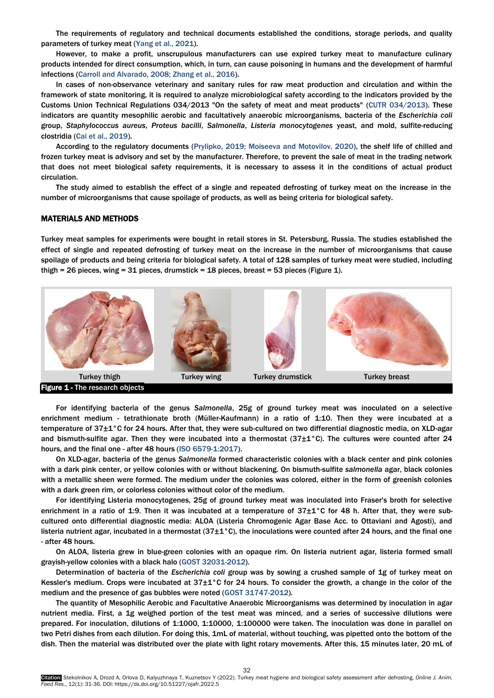The requirements of regulatory and technical documents established the conditions, storage periods, and quality parameters of turkey meat ([Yang et al., 2021\).](#page-5-0)

However, to make a profit, unscrupulous manufacturers can use expired turkey meat to manufacture culinary products intended for direct consumption, which, in turn, can cause poisoning in humans and the development of harmful infections [\(Carroll and Alvarado, 2008; Zhang et al., 2016\).](#page-5-0)

In cases of non-observance veterinary and sanitary rules for raw meat production and circulation and within the framework of state monitoring, it is required to analyze microbiological safety according to the indicators provided by the Customs Union Technical Regulations 034/2013 "On the safety of meat and meat products" (CUTR 034/2013). These indicators are quantity mesophilic aerobic and facultatively anaerobic microorganisms, bacteria of the *Escherichia coli* group, *Staphylococcus aureus*, *Proteus bacilli*, *Salmonella*, *Listeria monocytogenes* yeast, and mold, sulfite-reducing clostridia (Cai et al., [2019\)](#page-5-0).

According to the regulatory documents [\(Prylipko, 2019; Moiseeva and Motovilov, 2020\)](#page-5-0), the shelf life of chilled and frozen turkey meat is advisory and set by the manufacturer. Therefore, to prevent the sale of meat in the trading network that does not meet biological safety requirements, it is necessary to assess it in the conditions of actual product circulation.

The study aimed to establish the effect of a single and repeated defrosting of turkey meat on the increase in the number of microorganisms that cause spoilage of products, as well as being criteria for biological safety.

#### MATERIALS AND METHODS

Turkey meat samples for experiments were bought in retail stores in St. Petersburg, Russia. The studies established the effect of single and repeated defrosting of turkey meat on the increase in the number of microorganisms that cause spoilage of products and being criteria for biological safety. A total of 128 samples of turkey meat were studied, including thigh = 26 pieces, wing =  $31$  pieces, drumstick =  $18$  pieces, breast =  $53$  pieces (Figure 1).



For identifying bacteria of the genus *Salmonella*, 25g of ground turkey meat was inoculated on a selective enrichment medium - tetrathionate broth (Müller-Kaufmann) in a ratio of 1:10. Then they were incubated at a temperature of 37±1°С for 24 hours. After that, they were sub-cultured on two differential diagnostic media, on XLD-agar and bismuth-sulfite agar. Then they were incubated into a thermostat (37±1°C). The cultures were counted after 24 hours, and the final one - after 48 hours ([ISO 6579-1:2017\).](#page-5-0)

On XLD-agar, bacteria of the genus *Salmonella* formed characteristic colonies with a black center and pink colonies with a dark pink center, or yellow colonies with or without blackening. On bismuth-sulfite *salmonella* agar, black colonies with a metallic sheen were formed. The medium under the colonies was colored, either in the form of greenish colonies with a dark green rim, or colorless colonies without color of the medium.

For identifying Listeria monocytogenes, 25g of ground turkey meat was inoculated into Fraser's broth for selective enrichment in a ratio of 1:9. Then it was incubated at a temperature of 37±1°C for 48 h. After that, they were subcultured onto differential diagnostic media: ALOA (Listeria Chromogenic Agar Base Acc. to Ottaviani and Agosti), and listeria nutrient agar, incubated in a thermostat (37 $\pm 1^{\circ}$ C), the inoculations were counted after 24 hours, and the final one - after 48 hours.

On ALOA, listeria grew in blue-green colonies with an opaque rim. On listeria nutrient agar, listeria formed small grayish-yellow colonies with a black halo [\(GOST 32031-2012](#page-5-0)).

Determination of bacteria of the *Escherichia coli* group was by sowing a crushed sample of 1g of turkey meat on Kessler's medium. Crops were incubated at 37±1°C for 24 hours. To consider the growth, a change in the color of the medium and the presence of gas bubbles were noted ([GOST 31747-2012](#page-5-0)).

The quantity of Mesophilic Aerobic and Facultative Anaerobic Microorganisms was determined by inoculation in agar nutrient media. First, a 1g weighed portion of the test meat was minced, and a series of successive dilutions were prepared. For inoculation, dilutions of 1:1000, 1:10000, 1:100000 were taken. The inoculation was done in parallel on two Petri dishes from each dilution. For doing this, 1mL of material, without touching, was pipetted onto the bottom of the dish. Then the material was distributed over the plate with light rotary movements. After this, 15 minutes later, 20 mL of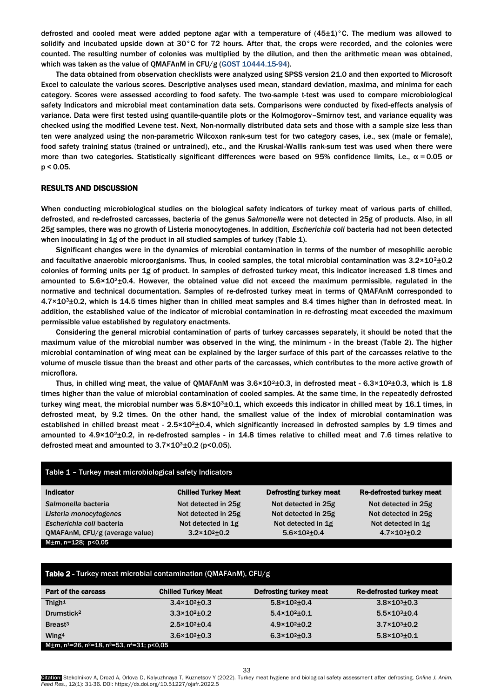defrosted and cooled meat were added peptone agar with a temperature of  $(45\pm1)$ °C. The medium was allowed to solidify and incubated upside down at 30°C for 72 hours. After that, the crops were recorded, and the colonies were counted. The resulting number of colonies was multiplied by the dilution, and then the arithmetic mean was obtained, which was taken as the value of QMAFAnM in CFU/g [\(GOST 10444.15-94\)](#page-5-0).

The data obtained from observation checklists were analyzed using SPSS version 21.0 and then exported to Microsoft Excel to calculate the various scores. Descriptive analyses used mean, standard deviation, maxima, and minima for each category. Scores were assessed according to food safety. The two-sample t-test was used to compare microbiological safety Indicators and microbial meat contamination data sets. Comparisons were conducted by fixed-effects analysis of variance. Data were first tested using quantile-quantile plots or the Kolmogorov–Smirnov test, and variance equality was checked using the modified Levene test. Next, Non-normally distributed data sets and those with a sample size less than ten were analyzed using the non-parametric Wilcoxon rank-sum test for two category cases, i.e., sex (male or female), food safety training status (trained or untrained), etc., and the Kruskal-Wallis rank-sum test was used when there were more than two categories. Statistically significant differences were based on 95% confidence limits, i.e.,  $α = 0.05$  or p < 0.05.

## RESULTS AND DISCUSSION

When conducting microbiological studies on the biological safety indicators of turkey meat of various parts of chilled, defrosted, and re-defrosted carcasses, bacteria of the genus *Salmonella* were not detected in 25g of products. Also, in all 25g samples, there was no growth of Listeria monocytogenes. In addition, *Escherichia coli* bacteria had not been detected when inoculating in 1g of the product in all studied samples of turkey (Table 1).

Significant changes were in the dynamics of microbial contamination in terms of the number of mesophilic aerobic and facultative anaerobic microorganisms. Thus, in cooled samples, the total microbial contamination was  $3.2\times10^{2} \pm 0.2$ colonies of forming units per 1g of product. In samples of defrosted turkey meat, this indicator increased 1.8 times and amounted to  $5.6 \times 10^{2} \pm 0.4$ . However, the obtained value did not exceed the maximum permissible, regulated in the normative and technical documentation. Samples of re-defrosted turkey meat in terms of QMAFAnM corresponded to 4.7×103±0.2, which is 14.5 times higher than in chilled meat samples and 8.4 times higher than in defrosted meat. In addition, the established value of the indicator of microbial contamination in re-defrosting meat exceeded the maximum permissible value established by regulatory enactments.

Considering the general microbial contamination of parts of turkey carcasses separately, it should be noted that the maximum value of the microbial number was observed in the wing, the minimum - in the breast (Table 2). The higher microbial contamination of wing meat can be explained by the larger surface of this part of the carcasses relative to the volume of muscle tissue than the breast and other parts of the carcasses, which contributes to the more active growth of microflora.

Thus, in chilled wing meat, the value of QMAFAnM was  $3.6 \times 10^2 \pm 0.3$ , in defrosted meat -  $6.3 \times 10^2 \pm 0.3$ , which is 1.8 times higher than the value of microbial contamination of cooled samples. At the same time, in the repeatedly defrosted turkey wing meat, the microbial number was  $5.8 \times 10^{3} \pm 0.1$ , which exceeds this indicator in chilled meat by 16.1 times, in defrosted meat, by 9.2 times. On the other hand, the smallest value of the index of microbial contamination was established in chilled breast meat -  $2.5 \times 10^{2} \pm 0.4$ , which significantly increased in defrosted samples by 1.9 times and amounted to 4.9×10<sup>2</sup>±0.2, in re-defrosted samples - in 14.8 times relative to chilled meat and 7.6 times relative to defrosted meat and amounted to  $3.7 \times 10^3 \pm 0.2$  (p<0.05).

| Table 1 - Turkey meat microbiological safety Indicators |                             |                               |                                 |  |
|---------------------------------------------------------|-----------------------------|-------------------------------|---------------------------------|--|
| <b>Indicator</b>                                        | <b>Chilled Turkey Meat</b>  | <b>Defrosting turkey meat</b> | <b>Re-defrosted turkey meat</b> |  |
| Salmonella bacteria                                     | Not detected in 25g         | Not detected in 25g           | Not detected in 25g             |  |
| Listeria monocytogenes                                  | Not detected in 25g         | Not detected in 25g           | Not detected in 25g             |  |
| Escherichia coli bacteria                               | Not detected in 1g          | Not detected in 1g            | Not detected in 1g              |  |
| QMAFAnM, CFU/g (average value)                          | $3.2 \times 10^{2} \pm 0.2$ | $5.6 \times 10^{2} \pm 0.4$   | $4.7 \times 10^{3} \pm 0.2$     |  |
| M±m, n=128; p<0,05                                      |                             |                               |                                 |  |

| <b>Table 2 - Turkey meat microbial contamination (QMAFAnM), CFU/g</b>                       |                             |                               |                                 |  |
|---------------------------------------------------------------------------------------------|-----------------------------|-------------------------------|---------------------------------|--|
| <b>Part of the carcass</b>                                                                  | <b>Chilled Turkey Meat</b>  | <b>Defrosting turkey meat</b> | <b>Re-defrosted turkey meat</b> |  |
| Thigh <sup>1</sup>                                                                          | $3.4 \times 10^{2} \pm 0.3$ | $5.8 \times 10^{2} \pm 0.4$   | $3.8 \times 10^{3} \pm 0.3$     |  |
| Drumstick <sup>2</sup>                                                                      | $3.3 \times 10^{2} \pm 0.2$ | $5.4 \times 10^{2} \pm 0.1$   | $5.5 \times 10^{3} \pm 0.4$     |  |
| Breast <sup>3</sup>                                                                         | $2.5 \times 10^{2} \pm 0.4$ | $4.9 \times 10^{2} \pm 0.2$   | $3.7 \times 10^{3} \pm 0.2$     |  |
| Wing <sup>4</sup>                                                                           | $3.6 \times 10^{2} \pm 0.3$ | $6.3 \times 10^{2} \pm 0.3$   | $5.8 \times 10^{3} \pm 0.1$     |  |
| M±m, n <sup>1=26</sup> , n <sup>2=18</sup> , n <sup>3=53</sup> , n <sup>4=31</sup> ; p<0.05 |                             |                               |                                 |  |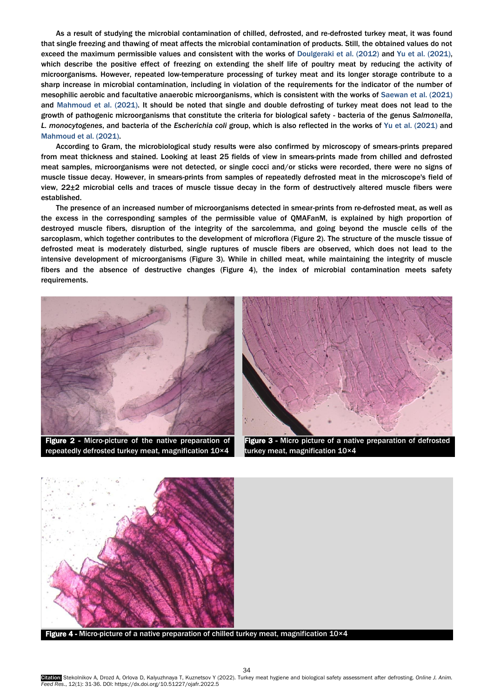As a result of studying the microbial contamination of chilled, defrosted, and re-defrosted turkey meat, it was found that single freezing and thawing of meat affects the microbial contamination of products. Still, the obtained values do not exceed the maximum permissible values and consistent with the works of [Doulgeraki et al. \(2012\)](#page-5-0) and [Yu et al.](#page-5-0) (2021), which describe the positive effect of freezing on extending the shelf life of poultry meat by reducing the activity of microorganisms. However, repeated low-temperature processing of turkey meat and its longer storage contribute to a sharp increase in microbial contamination, including in violation of the requirements for the indicator of the number of mesophilic aerobic and facultative anaerobic microorganisms, which is consistent with the works of [Saewan](#page-5-0) et al. (2021) and [Mahmoud et al. \(2021\)](#page-5-0). It should be noted that single and double defrosting of turkey meat does not lead to the growth of pathogenic microorganisms that constitute the criteria for biological safety - bacteria of the genus *Salmonella*, *L. monocytogenes*, and bacteria of the *Escherichia coli* group, which is also reflected in the works of Yu et al. [\(2021\)](#page-5-0) and [Mahmoud et al. \(2021\).](#page-5-0)

According to Gram, the microbiological study results were also confirmed by microscopy of smears-prints prepared from meat thickness and stained. Looking at least 25 fields of view in smears-prints made from chilled and defrosted meat samples, microorganisms were not detected, or single cocci and/or sticks were recorded, there were no signs of muscle tissue decay. However, in smears-prints from samples of repeatedly defrosted meat in the microscope's field of view, 22±2 microbial cells and traces of muscle tissue decay in the form of destructively altered muscle fibers were established.

The presence of an increased number of microorganisms detected in smear-prints from re-defrosted meat, as well as the excess in the corresponding samples of the permissible value of QMAFanM, is explained by high proportion of destroyed muscle fibers, disruption of the integrity of the sarcolemma, and going beyond the muscle cells of the sarcoplasm, which together contributes to the development of microflora (Figure 2). The structure of the muscle tissue of defrosted meat is moderately disturbed, single ruptures of muscle fibers are observed, which does not lead to the intensive development of microorganisms (Figure 3). While in chilled meat, while maintaining the integrity of muscle fibers and the absence of destructive changes (Figure 4), the index of microbial contamination meets safety requirements.



Figure 2 - Micro-picture of the native preparation of repeatedly defrosted turkey meat, magnification 10×4



Figure 3 - Micro picture of a native preparation of defrosted turkey meat, magnification 10×4



Figure 4 - Micro-picture of a native preparation of chilled turkey meat, magnification 10×4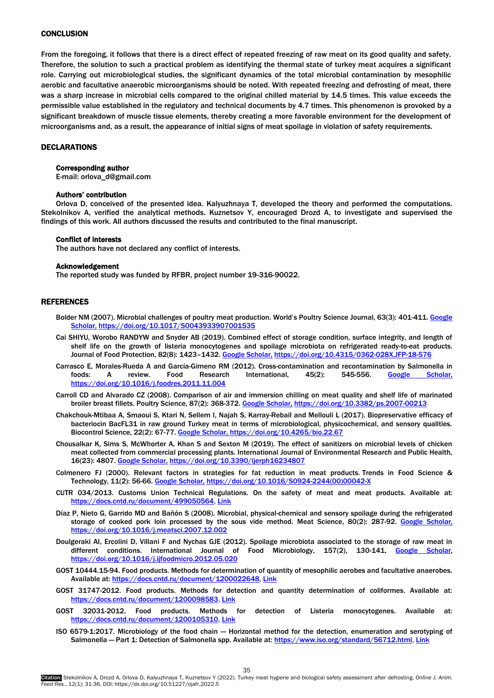## **CONCLUSION**

From the foregoing, it follows that there is a direct effect of repeated freezing of raw meat on its good quality and safety. Therefore, the solution to such a practical problem as identifying the thermal state of turkey meat acquires a significant role. Carrying out microbiological studies, the significant dynamics of the total microbial contamination by mesophilic aerobic and facultative anaerobic microorganisms should be noted. With repeated freezing and defrosting of meat, there was a sharp increase in microbial cells compared to the original chilled material by 14.5 times. This value exceeds the permissible value established in the regulatory and technical documents by 4.7 times. This phenomenon is provoked by a significant breakdown of muscle tissue elements, thereby creating a more favorable environment for the development of microorganisms and, as a result, the appearance of initial signs of meat spoilage in violation of safety requirements.

#### DECLARATIONS

## Corresponding author

E-mail: orlova\_d@gmail.com

#### Authors' contribution

Orlova D, conceived of the presented idea. Kalyuzhnaya T, developed the theory and performed the computations. Stekolnikov A, verified the analytical methods. Kuznetsov Y, encouraged Drozd A, to investigate and supervised the findings of this work. All authors discussed the results and contributed to the final manuscript.

## Conflict of interests

The authors have not declared any conflict of interests.

#### Acknowledgement

The reported study was funded by RFBR, project number 19-316-90022.

#### REFERENCES

- Bolder NM (2007). Microbial challenges of poultry meat production. World's Poultry Science Journal, 63(3): 401-411. Google [Scholar,](https://scholar.google.com/scholar?hl=en&as_sdt=0%2C5&q=Bolder+NM+%282007%29.+Microbial+challenges+of+poultry+meat+production.+World%E2%80%99s+Poultry+Science+Journal%2C+63%283%29%3A401-411&btnG=) <https://doi.org/10.1017/S0043933907001535>
- Cai SHIYU, Worobo RANDYW and Snyder AB [\(2019\).](#page-5-0) Combined effect of storage condition, surface integrity, and length of shelf life on the growth of listeria monocytogenes and spoilage microbiota on refrigerated ready-to-eat products. Journal of Food Protection, 82(8): 1423-1432[. Google Scholar,](https://scholar.google.com/scholar?hl=en&as_sdt=0%2C5&q=Cai+SHIYU%2C+Worobo+RANDYW+and+Snyder+AB+%282019%29.+Combined+effect+of+storage+condition%2C+surface+integrity%2C+and+length+of+shelf+life+on+the+growth+of+listeria+monocytogenes+and+spoilage+microbiota+on+refrigerated+ready-to-eat+products.+Journal+of+Food+Protection%2C+82%288%29%3A1423%E2%80%931432.&btnG=) <https://doi.org/10.4315/0362-028X.JFP-18-576>
- Carrasco E, Morales-Rueda A and García-Gimeno RM (2012). Cross-contamination and recontamination by Salmonella in foods: A review. Food Research International, 45(2): 545-556. [Google Scholar,](https://scholar.google.com/scholar?hl=en&as_sdt=0%2C5&q=Carrasco+E%2C+Morales-Rueda+A+and+Garc%C3%ADa-Gimeno+RM+%282012%29.+Cross-contamination+and+recontamination+by+Salmonella+in+foods%3A+A+review.+Food+Research+International%2C+45%282%29%3A545-556.&btnG=) <https://doi.org/10.1016/j.foodres.2011.11.004>
- Carroll CD and Alvarado CZ (2008). Comparison of air and immersion chilling on meat quality and shelf life of marinated broiler breast fillets. Poultry Science, 87(2): 368-372. [Google Scholar,](https://scholar.google.com/scholar?hl=en&as_sdt=0%2C5&q=Carroll+CD+and+Alvarado+CZ+%282008%29.+Comparison+of+air+and+immersion+chilling+on+meat+quality+and+shelf+life+of+marinated+broiler+breast+fillets.+Poultry+Science%2C+87%282%29%3A368-372.&btnG=) <https://doi.org/10.3382/ps.2007-00213>
- Chakchouk-Mtibaa A, Smaoui S, Ktari N, Sellem I, Najah S, Karray-RebaiI and Mellouli L (2017). Biopreservative efficacy of bacteriocin BacFL31 in raw ground Turkey meat in terms of microbiological, physicochemical, and sensory qualities. Biocontrol Science, 22(2): 67-77[. Google Scholar,](https://scholar.google.com/scholar?hl=en&as_sdt=0%2C5&q=Chakchouk-Mtibaa+A%2C+Smaoui+S%2C+Ktari+N%2C+Sellem+I%2C+Najah+S%2C+Karray-RebaiI+and+Mellouli+L+%282017%29.+Biopreservative+efficacy+of+bacteriocin+BacFL31+in+raw+ground+Turkey+meat+in+terms+of+microbiological%2C+physicochemical%2C+and+sensory+qualities.+Biocontrol+Science%2C+22%282%29%3A67-77.&btnG=)<https://doi.org/10.4265/bio.22.67>
- Chousalkar K, Sims S, McWhorter A, Khan S and Sexton M ([2019\).](#page-5-0) The effect of sanitizers on microbial levels of chicken meat collected from commercial processing plants. International Journal of Environmental Research and Public Health, 16(23): 4807. [Google Scholar,](https://scholar.google.com/scholar?hl=en&as_sdt=0%2C5&q=Chousalkar+K%2C+Sims+S%2C+McWhorter+A%2C+Khan+S+and+Sexton+M+%282019%29.+The+effect+of+sanitizers+on+microbial+levels+of+chicken+meat+collected+from+commercial+processing+plants.+International+Journal+of+Environmental+Research+and+Public+Health%2C+16%2823%29%3A4807.&btnG=) <https://doi.org/10.3390/ijerph16234807>
- Colmenero FJ (2000). Relevant factors in strategies for fat reduction in meat products. Trends in Food Science & Technology, 11(2): 56-66[. Google Scholar,](https://scholar.google.com/scholar?hl=en&as_sdt=0%2C5&q=Colmenero+FJ+%282000%29.+Relevant+factors+in+strategies+for+fat+reduction+in+meat+products.+Trends+in+Food+Science+%26+Technology%2C+11%282%29%3A56-66.+&btnG=) [https://doi.org/10.1016/S0924-2244\(00\)00042-X](https://doi.org/10.1016/S0924-2244(00)00042-X)
- CUTR 034/2013. Customs Union Technical Regulations. On the safety of meat and meat products. Available at: [https://docs.cntd.ru/document/499050564,](https://docs.cntd.ru/document/499050564) [Link](https://docs.cntd.ru/document/499050564)
- Díaz P, Nieto G, Garrido MD and Bañón S (2008). Microbial, physical-chemical and sensory spoilage during the refrigerated storage of cooked pork loin processed by the sous vide method. Meat Science, 80(2): 287-92. [Google Scholar,](https://scholar.google.com/scholar?hl=ru&as_sdt=0%2C5&q=Microbial%2C+physical-chemical+and+sensory+spoilage+during+the+refrigerated+storage+of+cooked+pork+loin+processed+by+the+sous+vide+method.+Meat+Science%2C&btnG=) <https://doi.org/10.1016/j.meatsci.2007.12.002>
- Doulgeraki AI, Ercolini D, Villani F and Nychas GJE (2012). Spoilage microbiota associated to the storage of raw meat in different conditions. International Journal of Food Microbiology, 157(2), 130-141, Google Scholar, <https://doi.org/10.1016/j.ijfoodmicro.2012.05.020>
- [GOST 10444.15-94.](#page-5-0) Food products. Methods for determination of quantity of mesophilic aerobes and facultative anaerobes. Available at: [https://docs.cntd.ru/document/1200022648,](https://docs.cntd.ru/document/1200022648) [Link](https://docs.cntd.ru/document/1200022648)
- [GOST 31747-2012.](#page-5-0) Food products. Methods for detection and quantity determination of coliformes. Available at: [https://docs.cntd.ru/document/1200098583,](https://docs.cntd.ru/document/1200098583) [Link](https://docs.cntd.ru/document/1200098583)
- GOST 32031-2012. Food products. Methods for detection of Listeria monocytogenes. Available at: [https://docs.cntd.ru/document/1200105310,](https://docs.cntd.ru/document/1200105310) [Link](https://docs.cntd.ru/document/1200105310)
- ISO 6579-1:2017. Microbiology of the food chain Horizontal method for the detection, enumeration and serotyping of Salmonella - Part 1: Detection of Salmonella spp. Available at: [https://www.iso.org/standard/56712.html,](https://www.iso.org/standard/56712.html) [Link](https://www.iso.org/standard/56712.html)